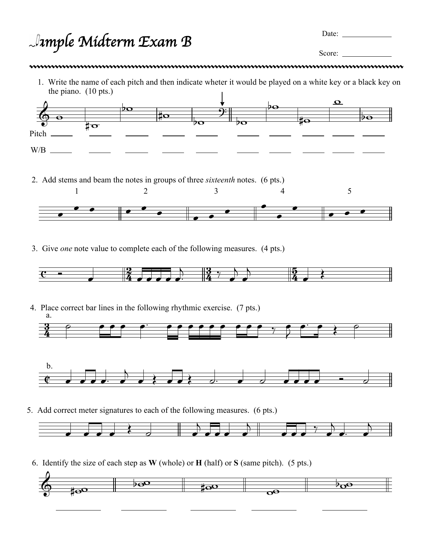*Sample Midterm Exam* B

Date:

Score:

- - 1. Write the name of each pitch and then indicate wheter it would be played on a white key or a black key on the piano. (10 pts.)



2. Add stems and beam the notes in groups of three *sixteenth* notes. (6 pts.)



3. Give *one* note value to complete each of the following measures. (4 pts.)



<u>3</u>  $\frac{3}{4}$ 4. Place correct bar lines in the following rhythmic exercise. (7 pts.) a.  $\bar{\bar{z}}$  $\bullet$   $\bullet$   $\bullet$   $\circ$ 



5. Add correct meter signatures to each of the following measures. (6 pts.)



6. Identify the size of each step as **W** (whole) or **H** (half) or **S** (same pitch). (5 pts.)

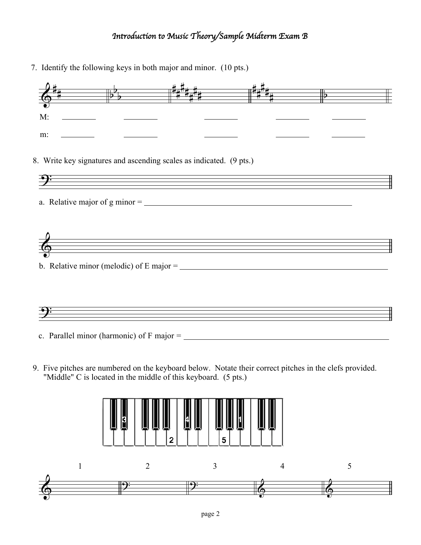## *Introduction to Music Theory/Sample Midterm Exam* B

7. Identify the following keys in both major and minor. (10 pts.)

| M: |                                                                     |  |  |
|----|---------------------------------------------------------------------|--|--|
| m: |                                                                     |  |  |
|    | 8. Write key signatures and ascending scales as indicated. (9 pts.) |  |  |
|    |                                                                     |  |  |
|    |                                                                     |  |  |
|    | b. Relative minor (melodic) of E major = $\frac{1}{2}$              |  |  |
|    | <u> 1989 - Johann Stoff, amerikansk politiker (d. 1989)</u>         |  |  |
|    |                                                                     |  |  |

9. Five pitches are numbered on the keyboard below. Notate their correct pitches in the clefs provided. "Middle" C is located in the middle of this keyboard. (5 pts.)

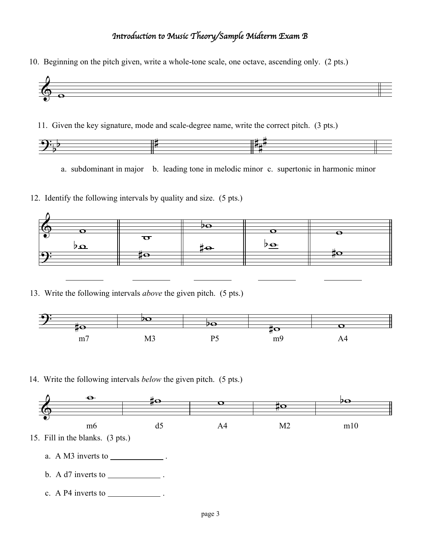## *Introduction to Music Theory/Sample Midterm Exam* B

10. Beginning on the pitch given, write a whole-tone scale, one octave, ascending only. (2 pts.)



11. Given the key signature, mode and scale-degree name, write the correct pitch. (3 pts.)



a. subdominant in major b. leading tone in melodic minor c. supertonic in harmonic minor

12. Identify the following intervals by quality and size. (5 pts.)



13. Write the following intervals *above* the given pitch. (5 pts.)



14. Write the following intervals *below* the given pitch. (5 pts.)



- b. A  $d7$  inverts to \_\_\_\_\_\_\_\_\_\_\_\_\_\_\_.
- c. A P4 inverts to  $\qquad \qquad$ .